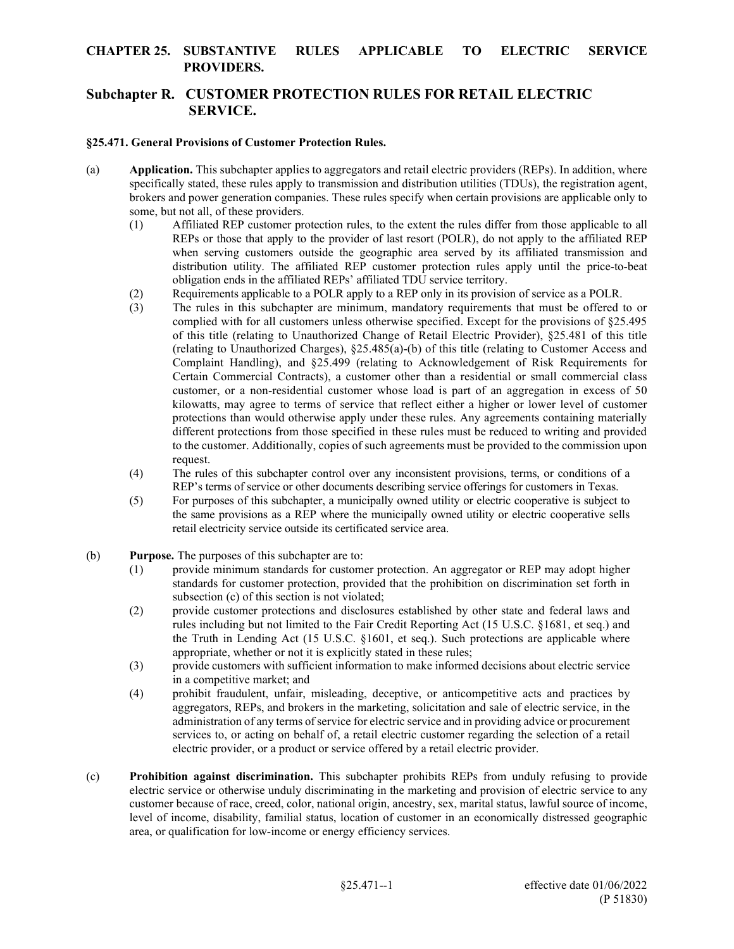### **CHAPTER 25. SUBSTANTIVE RULES APPLICABLE TO ELECTRIC SERVICE PROVIDERS.**

## **Subchapter R. CUSTOMER PROTECTION RULES FOR RETAIL ELECTRIC SERVICE.**

#### **§25.471. General Provisions of Customer Protection Rules.**

- (a) **Application.** This subchapter applies to aggregators and retail electric providers (REPs). In addition, where specifically stated, these rules apply to transmission and distribution utilities (TDUs), the registration agent, brokers and power generation companies. These rules specify when certain provisions are applicable only to some, but not all, of these providers.
	- (1) Affiliated REP customer protection rules, to the extent the rules differ from those applicable to all REPs or those that apply to the provider of last resort (POLR), do not apply to the affiliated REP when serving customers outside the geographic area served by its affiliated transmission and distribution utility. The affiliated REP customer protection rules apply until the price-to-beat obligation ends in the affiliated REPs' affiliated TDU service territory.
	- (2) Requirements applicable to a POLR apply to a REP only in its provision of service as a POLR.
	- (3) The rules in this subchapter are minimum, mandatory requirements that must be offered to or complied with for all customers unless otherwise specified. Except for the provisions of §25.495 of this title (relating to Unauthorized Change of Retail Electric Provider), §25.481 of this title (relating to Unauthorized Charges), §25.485(a)-(b) of this title (relating to Customer Access and Complaint Handling), and §25.499 (relating to Acknowledgement of Risk Requirements for Certain Commercial Contracts), a customer other than a residential or small commercial class customer, or a non-residential customer whose load is part of an aggregation in excess of 50 kilowatts, may agree to terms of service that reflect either a higher or lower level of customer protections than would otherwise apply under these rules. Any agreements containing materially different protections from those specified in these rules must be reduced to writing and provided to the customer. Additionally, copies of such agreements must be provided to the commission upon request.
	- (4) The rules of this subchapter control over any inconsistent provisions, terms, or conditions of a REP's terms of service or other documents describing service offerings for customers in Texas.
	- (5) For purposes of this subchapter, a municipally owned utility or electric cooperative is subject to the same provisions as a REP where the municipally owned utility or electric cooperative sells retail electricity service outside its certificated service area.
- (b) **Purpose.** The purposes of this subchapter are to:
	- (1) provide minimum standards for customer protection. An aggregator or REP may adopt higher standards for customer protection, provided that the prohibition on discrimination set forth in subsection (c) of this section is not violated;
	- (2) provide customer protections and disclosures established by other state and federal laws and rules including but not limited to the Fair Credit Reporting Act (15 U.S.C. §1681, et seq.) and the Truth in Lending Act (15 U.S.C. §1601, et seq.). Such protections are applicable where appropriate, whether or not it is explicitly stated in these rules;
	- (3) provide customers with sufficient information to make informed decisions about electric service in a competitive market; and
	- (4) prohibit fraudulent, unfair, misleading, deceptive, or anticompetitive acts and practices by aggregators, REPs, and brokers in the marketing, solicitation and sale of electric service, in the administration of any terms of service for electric service and in providing advice or procurement services to, or acting on behalf of, a retail electric customer regarding the selection of a retail electric provider, or a product or service offered by a retail electric provider.
- (c) **Prohibition against discrimination.** This subchapter prohibits REPs from unduly refusing to provide electric service or otherwise unduly discriminating in the marketing and provision of electric service to any customer because of race, creed, color, national origin, ancestry, sex, marital status, lawful source of income, level of income, disability, familial status, location of customer in an economically distressed geographic area, or qualification for low-income or energy efficiency services.